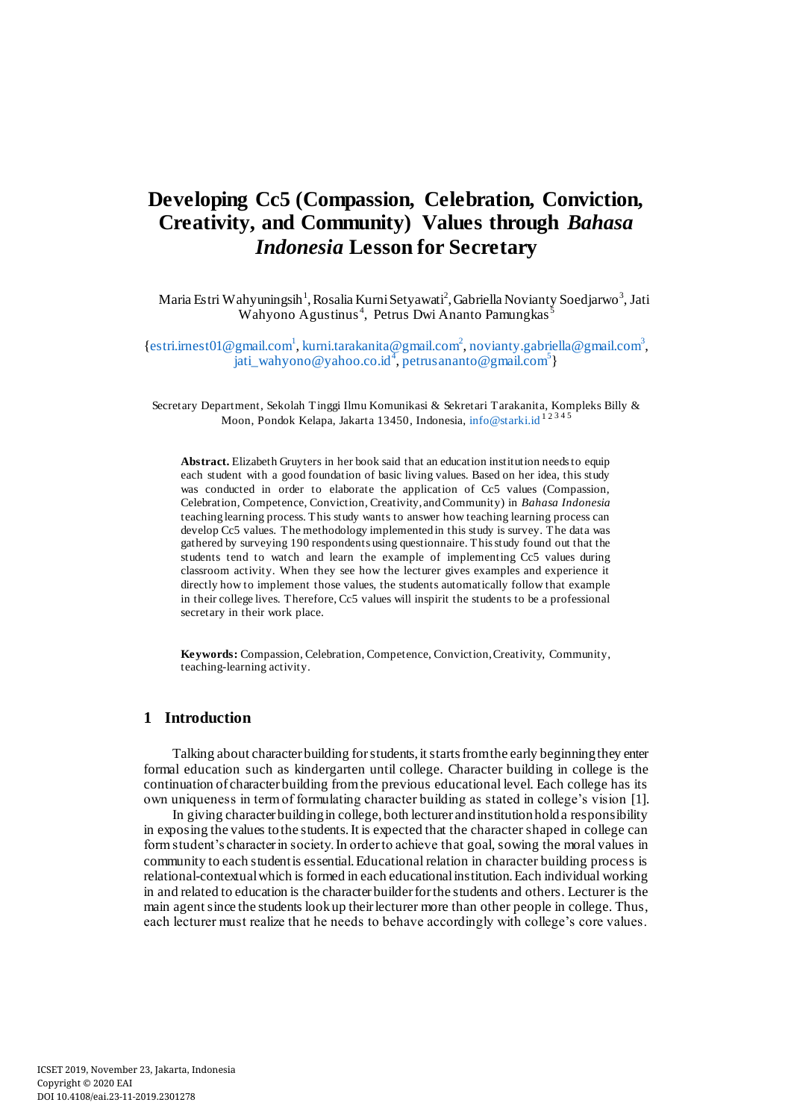# **Developing Cc5 (Compassion, Celebration, Conviction, Creativity, and Community) Values through** *Bahasa Indonesia* **Lesson for Secretary**

Maria Estri Wahyuningsih<sup>1</sup>, Rosalia Kurni Setyawati<sup>2</sup>, Gabriella Novianty Soedjarwo<sup>3</sup>, Jati Wahyono Agustinus<sup>4</sup>, Petrus Dwi Ananto Pamungkas<sup>5</sup>

{[estri.irnest01@gmail.com](mailto:estri.irnest01@gmail.com1)<sup>1</sup>, [kurni.tarakanita@gmail.com](mailto:kurni.tarakanita@gmail.com2)<sup>2</sup>[, novianty.gabriella@gmail.com](mailto:novianty.gabriella@gmail.com3)<sup>3</sup>, j[ati\\_wahyono@yahoo.co.id](mailto:jati_wahyono@yahoo.co.id4)<sup>4</sup>[, petrusananto@gmail.com](mailto:petrusananto@gmail.com5)<sup>5</sup>}

Secretary Department, Sekolah Tinggi Ilmu Komunikasi & Sekretari Tarakanita, Kompleks Billy & Moon, Pondok Kelapa, Jakarta 13450, Indonesi[a, info@starki.id](mailto:info@starki.id)<sup>12345</sup>

**Abstract.** Elizabeth Gruyters in her book said that an education institution needs to equip each student with a good foundation of basic living values. Based on her idea, this study was conducted in order to elaborate the application of Cc5 values (Compassion, Celebration, Competence, Conviction, Creativity, and Community) in *Bahasa Indonesia* teaching learning process. This study wants to answer how teaching learning process can develop Cc5 values. The methodology implemented in this study is survey. The data was gathered by surveying 190 respondents using questionnaire. This study found out that the students tend to watch and learn the example of implementing Cc5 values during classroom activity. When they see how the lecturer gives examples and experience it directly how to implement those values, the students automatically follow that example in their college lives. Therefore, Cc5 values will inspirit the students to be a professional secretary in their work place.

**Keywords:** Compassion, Celebration, Competence, Conviction, Creativity, Community, teaching-learning activity.

# **1 Introduction**

Talking about character building for students, it starts from the early beginning they enter formal education such as kindergarten until college. Character building in college is the continuation of character building from the previous educational level. Each college has its own uniqueness in term of formulating character building as stated in college's vision [1].

In giving character building in college, both lecturer and institution hold a responsibility in exposing the values to the students. It is expected that the character shaped in college can form student's character in society. In order to achieve that goal, sowing the moral values in community to each student is essential. Educational relation in character building process is relational-contextual which is formed in each educational institution. Each individual working in and related to education is the character builder for the students and others. Lecturer is the main agent since the students look up their lecturer more than other people in college. Thus, each lecturer must realize that he needs to behave accordingly with college's core values.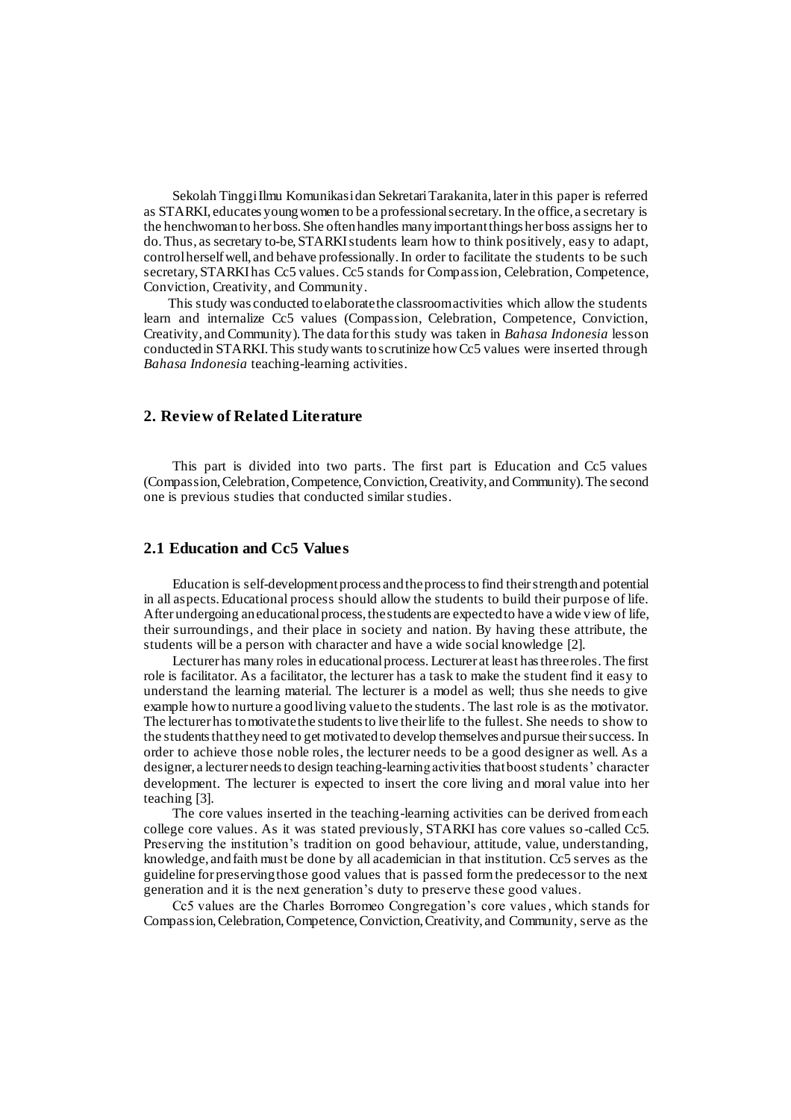Sekolah Tinggi Ilmu Komunikasi dan Sekretari Tarakanita, later in this paper is referred as STARKI, educates young women to be a professional secretary. In the office, a secretary is the henchwoman to her boss. She often handles many important things her boss assigns her to do. Thus, as secretary to-be, STARKI students learn how to think positively, easy to adapt, control herself well, and behave professionally. In order to facilitate the students to be such secretary, STARKI has Cc5 values. Cc5 stands for Compassion, Celebration, Competence, Conviction, Creativity, and Community.

This study was conducted to elaborate the classroom activities which allow the students learn and internalize Cc5 values (Compassion, Celebration, Competence, Conviction, Creativity, and Community). The data for this study was taken in *Bahasa Indonesia* lesson conducted in STARKI. This study wants to scrutinize how Cc5 values were inserted through *Bahasa Indonesia* teaching-learning activities.

# **2. Review of Related Literature**

This part is divided into two parts. The first part is Education and Cc5 values (Compassion, Celebration, Competence, Conviction, Creativity, and Community). The second one is previous studies that conducted similar studies.

#### **2.1 Education and Cc5 Values**

Education is self-development process and the process to find their strength and potential in all aspects.Educational process should allow the students to build their purpose of life. After undergoing an educational process, the students are expected to have a wide view of life, their surroundings, and their place in society and nation. By having these attribute, the students will be a person with character and have a wide social knowledge [2].

Lecturer has many roles in educational process. Lecturer at least has three roles. The first role is facilitator. As a facilitator, the lecturer has a task to make the student find it easy to understand the learning material. The lecturer is a model as well; thus she needs to give example how to nurture a good living value to the students. The last role is as the motivator. The lecturer has to motivate the students to live their life to the fullest. She needs to show to the students that they need to get motivated to develop themselves and pursue their success. In order to achieve those noble roles, the lecturer needs to be a good designer as well. As a designer, a lecturer needs to design teaching-learning activities that boost students' character development. The lecturer is expected to insert the core living and moral value into her teaching [3].

The core values inserted in the teaching-learning activities can be derived from each college core values. As it was stated previously, STARKI has core values so-called Cc5. Preserving the institution's tradition on good behaviour, attitude, value, understanding, knowledge, and faith must be done by all academician in that institution. Cc5 serves as the guideline for preserving those good values that is passed form the predecessor to the next generation and it is the next generation's duty to preserve these good values.

Cc5 values are the Charles Borromeo Congregation's core values, which stands for Compassion, Celebration, Competence, Conviction, Creativity, and Community, serve as the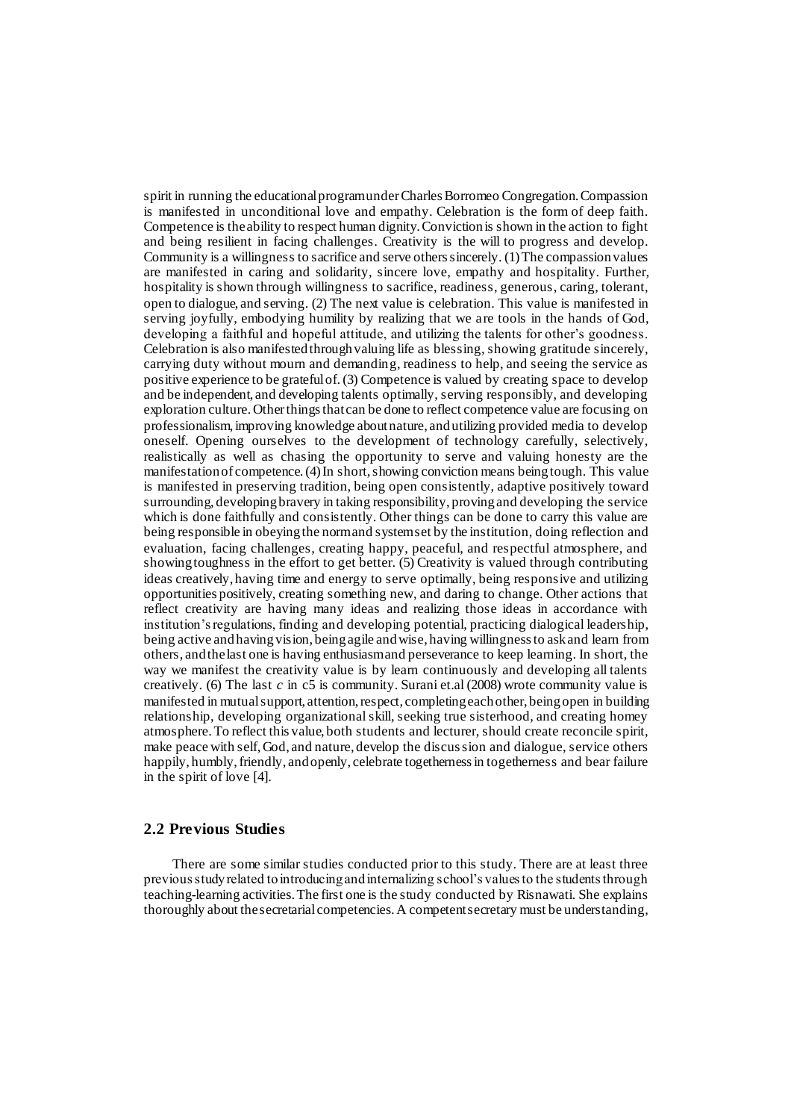spirit in running the educational program under Charles Borromeo Congregation. Compassion is manifested in unconditional love and empathy. Celebration is the form of deep faith. Competence is the ability to respect human dignity. Conviction is shown in the action to fight and being resilient in facing challenges. Creativity is the will to progress and develop. Community is a willingness to sacrifice and serve others sincerely. (1) The compassion values are manifested in caring and solidarity, sincere love, empathy and hospitality. Further, hospitality is shown through willingness to sacrifice, readiness, generous, caring, tolerant, open to dialogue, and serving. (2) The next value is celebration. This value is manifested in serving joyfully, embodying humility by realizing that we are tools in the hands of God, developing a faithful and hopeful attitude, and utilizing the talents for other's goodness. Celebration is also manifested through valuing life as blessing, showing gratitude sincerely, carrying duty without mourn and demanding, readiness to help, and seeing the service as positive experience to be grateful of. (3) Competence is valued by creating space to develop and be independent, and developing talents optimally, serving responsibly, and developing exploration culture. Other things that can be done to reflect competence value are focusing on professionalism, improving knowledge about nature, and utilizing provided media to develop oneself. Opening ourselves to the development of technology carefully, selectively, realistically as well as chasing the opportunity to serve and valuing honesty are the manifestation of competence.(4) In short, showing conviction means being tough. This value is manifested in preserving tradition, being open consistently, adaptive positively toward surrounding, developing bravery in taking responsibility, proving and developing the service which is done faithfully and consistently. Other things can be done to carry this value are being responsible in obeying the norm and system set by the institution, doing reflection and evaluation, facing challenges, creating happy, peaceful, and respectful atmosphere, and showing toughness in the effort to get better. (5) Creativity is valued through contributing ideas creatively, having time and energy to serve optimally, being responsive and utilizing opportunities positively, creating something new, and daring to change. Other actions that reflect creativity are having many ideas and realizing those ideas in accordance with institution's regulations, finding and developing potential, practicing dialogical leadership, being active and having vision, being agile and wise, having willingness to ask and learn from others, and the last one is having enthusiasm and perseverance to keep learning. In short, the way we manifest the creativity value is by learn continuously and developing all talents creatively. (6) The last  $c$  in  $c\overline{5}$  is community. Surani et.al (2008) wrote community value is manifested in mutual support, attention, respect, completing each other, being open in building relationship, developing organizational skill, seeking true sisterhood, and creating homey atmosphere. To reflect this value, both students and lecturer, should create reconcile spirit, make peace with self, God, and nature, develop the discussion and dialogue, service others happily, humbly, friendly, and openly, celebrate togetherness in togetherness and bear failure in the spirit of love [4].

# **2.2 Previous Studies**

There are some similar studies conducted prior to this study. There are at least three previous study related to introducing and internalizing school's values to the students through teaching-learning activities. The first one is the study conducted by Risnawati. She explains thoroughly about the secretarial competencies. A competent secretary must be understanding,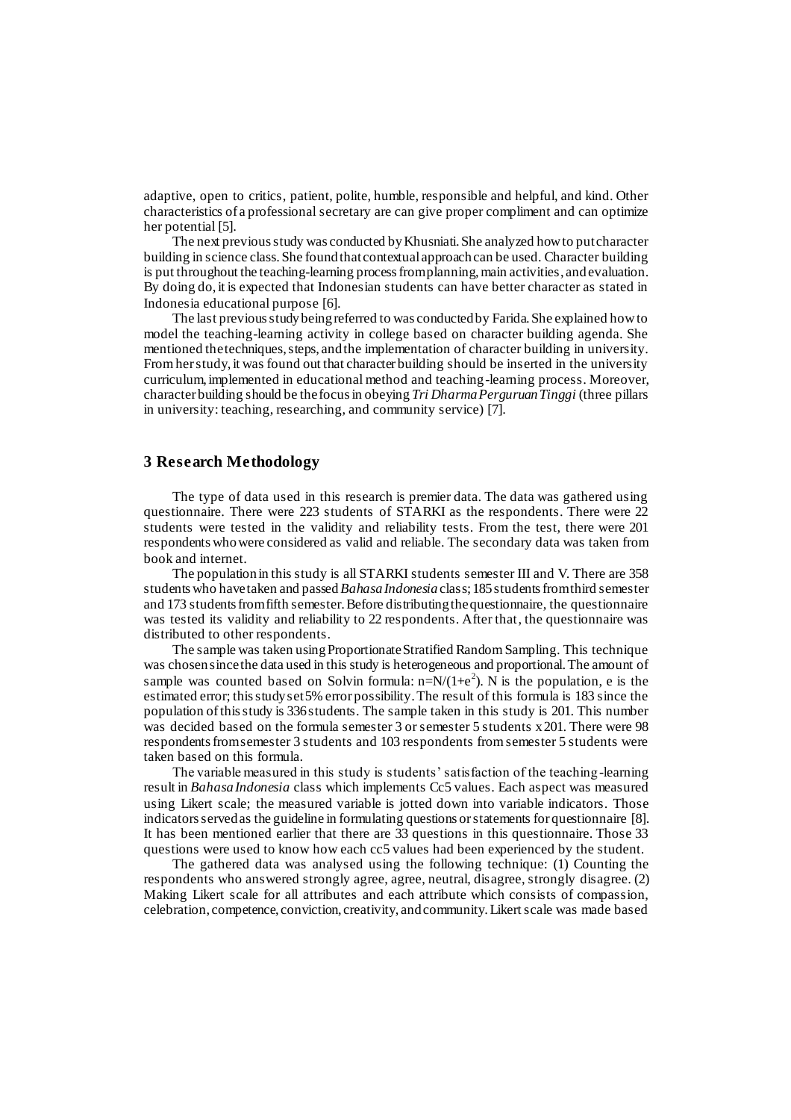adaptive, open to critics, patient, polite, humble, responsible and helpful, and kind. Other characteristics of a professional secretary are can give proper compliment and can optimize her potential [5].

The next previous study was conducted by Khusniati. She analyzed how to put character building in science class. She found that contextual approach can be used. Character building is put throughout the teaching-learning process from planning, main activities, and evaluation. By doing do, it is expected that Indonesian students can have better character as stated in Indonesia educational purpose [6].

The last previous study being referred to was conducted by Farida. She explained how to model the teaching-learning activity in college based on character building agenda. She mentioned the techniques, steps, and the implementation of character building in university. From her study, it was found out that character building should be inserted in the university curriculum, implemented in educational method and teaching-learning process. Moreover, character building should be the focus in obeying *Tri Dharma Perguruan Tinggi* (three pillars in university: teaching, researching, and community service) [7].

#### **3 Research Methodology**

The type of data used in this research is premier data. The data was gathered using questionnaire. There were 223 students of STARKI as the respondents. There were 22 students were tested in the validity and reliability tests. From the test, there were 201 respondents who were considered as valid and reliable. The secondary data was taken from book and internet.

The population in this study is all STARKI students semester III and V. There are 358 students who have taken and passed *Bahasa Indonesia* class; 185 students from third semester and 173 students from fifth semester. Before distributing the questionnaire, the questionnaire was tested its validity and reliability to 22 respondents. After that, the questionnaire was distributed to other respondents.

The sample was taken using Proportionate Stratified Random Sampling. This technique was chosen since the data used in this study is heterogeneous and proportional. The amount of sample was counted based on Solvin formula:  $n=N/(1+e^2)$ . N is the population, e is the estimated error; this study set 5% error possibility. The result of this formula is 183 since the population of this study is 336 students. The sample taken in this study is 201. This number was decided based on the formula semester 3 or semester 5 students x 201. There were 98 respondents from semester 3 students and 103 respondents from semester 5 students were taken based on this formula.

The variable measured in this study is students' satisfaction of the teaching-learning result in *Bahasa Indonesia* class which implements Cc5 values. Each aspect was measured using Likert scale; the measured variable is jotted down into variable indicators. Those indicators served as the guideline in formulating questions or statements for questionnaire [8]. It has been mentioned earlier that there are 33 questions in this questionnaire. Those 33 questions were used to know how each cc5 values had been experienced by the student.

The gathered data was analysed using the following technique: (1) Counting the respondents who answered strongly agree, agree, neutral, disagree, strongly disagree. (2) Making Likert scale for all attributes and each attribute which consists of compassion, celebration, competence, conviction, creativity, and community. Likert scale was made based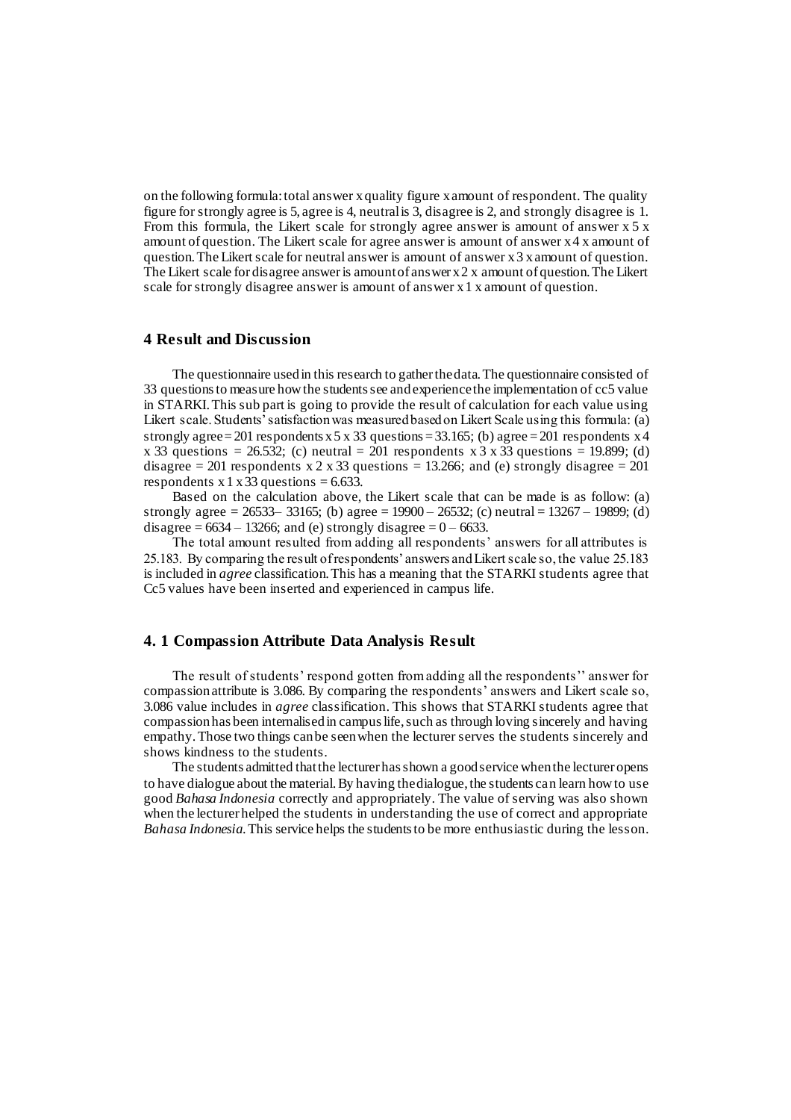on the following formula: total answer x quality figure x amount of respondent. The quality figure for strongly agree is 5, agree is 4, neutral is 3, disagree is 2, and strongly disagree is 1. From this formula, the Likert scale for strongly agree answer is amount of answer  $x 5 x$ amount of question. The Likert scale for agree answer is amount of answer x 4 x amount of question. The Likert scale for neutral answer is amount of answer x 3 x amount of question. The Likert scale for disagree answer is amount of answer  $x 2 x$  amount of question. The Likert scale for strongly disagree answer is amount of answer x 1 x amount of question.

# **4 Result and Discussion**

The questionnaire used in this research to gather the data. The questionnaire consisted of 33 questions to measure how the students see and experience the implementation of cc5 value in STARKI. This sub part is going to provide the result of calculation for each value using Likert scale. Students' satisfaction was measured based on Likert Scale using this formula: (a) strongly agree = 201 respondents  $x 5 x 33$  questions = 33.165; (b) agree = 201 respondents  $x 4$ x 33 questions = 26.532; (c) neutral = 201 respondents x 3 x 33 questions = 19.899; (d) disagree = 201 respondents  $x \le 2 \times 33$  questions = 13.266; and (e) strongly disagree = 201 respondents x 1 x 33 questions =  $6.633$ .

Based on the calculation above, the Likert scale that can be made is as follow: (a) strongly agree = 26533– 33165; (b) agree = 19900 – 26532; (c) neutral = 13267 – 19899; (d) disagree =  $6634 - 13266$ ; and (e) strongly disagree =  $0 - 6633$ .

The total amount resulted from adding all respondents' answers for all attributes is 25.183. By comparing the result of respondents' answers and Likert scale so, the value 25.183 is included in *agree* classification. This has a meaning that the STARKI students agree that Cc5 values have been inserted and experienced in campus life.

# **4. 1 Compassion Attribute Data Analysis Result**

The result of students' respond gotten from adding all the respondents'' answer for compassion attribute is 3.086. By comparing the respondents' answers and Likert scale so, 3.086 value includes in *agree* classification. This shows that STARKI students agree that compassion has been internalised in campus life, such as through loving sincerely and having empathy. Those two things can be seen when the lecturer serves the students sincerely and shows kindness to the students.

The students admitted that the lecturer has shown a good service when the lecturer opens to have dialogue about the material. By having the dialogue, the students can learn how to use good *Bahasa Indonesia* correctly and appropriately. The value of serving was also shown when the lecturer helped the students in understanding the use of correct and appropriate *Bahasa Indonesia*. This service helps the students to be more enthusiastic during the lesson.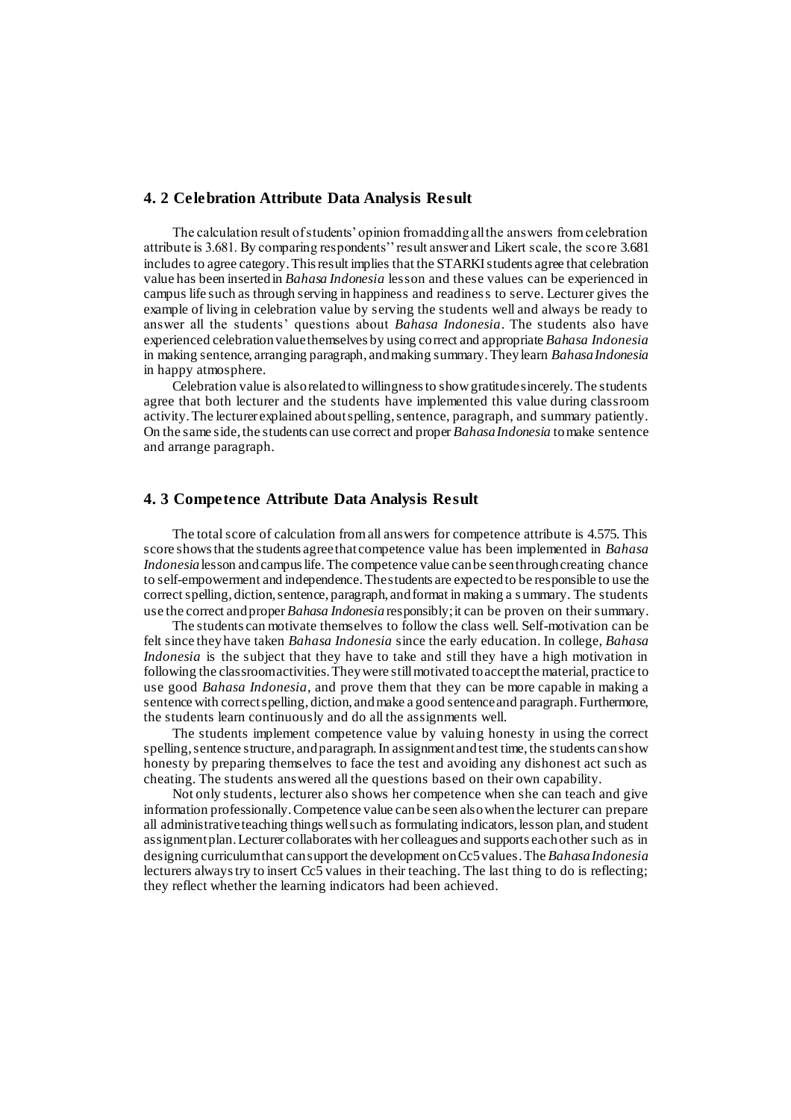# **4. 2 Celebration Attribute Data Analysis Result**

The calculation result of students' opinion from adding all the answers from celebration attribute is 3.681. By comparing respondents'' result answer and Likert scale, the score 3.681 includes to agree category. This result implies that the STARKI students agree that celebration value has been inserted in *Bahasa Indonesia* lesson and these values can be experienced in campus life such as through serving in happiness and readiness to serve. Lecturer gives the example of living in celebration value by serving the students well and always be ready to answer all the students' questions about *Bahasa Indonesia*. The students also have experienced celebration value themselves by using correct and appropriate *Bahasa Indonesia* in making sentence, arranging paragraph, and making summary. They learn *Bahasa Indonesia* in happy atmosphere.

Celebration value is also related to willingness to show gratitude sincerely. The students agree that both lecturer and the students have implemented this value during classroom activity. The lecturer explained about spelling, sentence, paragraph, and summary patiently. On the same side, the students can use correct and proper *Bahasa Indonesia* to make sentence and arrange paragraph.

#### **4. 3 Competence Attribute Data Analysis Result**

The total score of calculation from all answers for competence attribute is 4.575. This score shows that the students agree that competence value has been implemented in *Bahasa Indonesia* lesson and campus life. The competence value can be seen through creating chance to self-empowerment and independence. The students are expected to be responsible to use the correct spelling, diction, sentence, paragraph, and format in making a s ummary. The students use the correct and proper *Bahasa Indonesia* responsibly; it can be proven on their summary.

The students can motivate themselves to follow the class well. Self-motivation can be felt since they have taken *Bahasa Indonesia* since the early education. In college, *Bahasa Indonesia* is the subject that they have to take and still they have a high motivation in following the classroom activities. They were still motivated to accept the material, practice to use good *Bahasa Indonesia*, and prove them that they can be more capable in making a sentence with correct spelling, diction, and make a good sentence and paragraph. Furthermore, the students learn continuously and do all the assignments well.

The students implement competence value by valuing honesty in using the correct spelling, sentence structure, and paragraph. In assignment and test time, the students can show honesty by preparing themselves to face the test and avoiding any dishonest act such as cheating. The students answered all the questions based on their own capability.

Not only students, lecturer also shows her competence when she can teach and give information professionally. Competence value can be seen also when the lecturer can prepare all administrative teaching things well such as formulating indicators, lesson plan, and student assignment plan. Lecturer collaborates with her colleagues and supports each other such as in designing curriculum that can support the development on Cc5 values. The *Bahasa Indonesia* lecturers always try to insert Cc5 values in their teaching. The last thing to do is reflecting; they reflect whether the learning indicators had been achieved.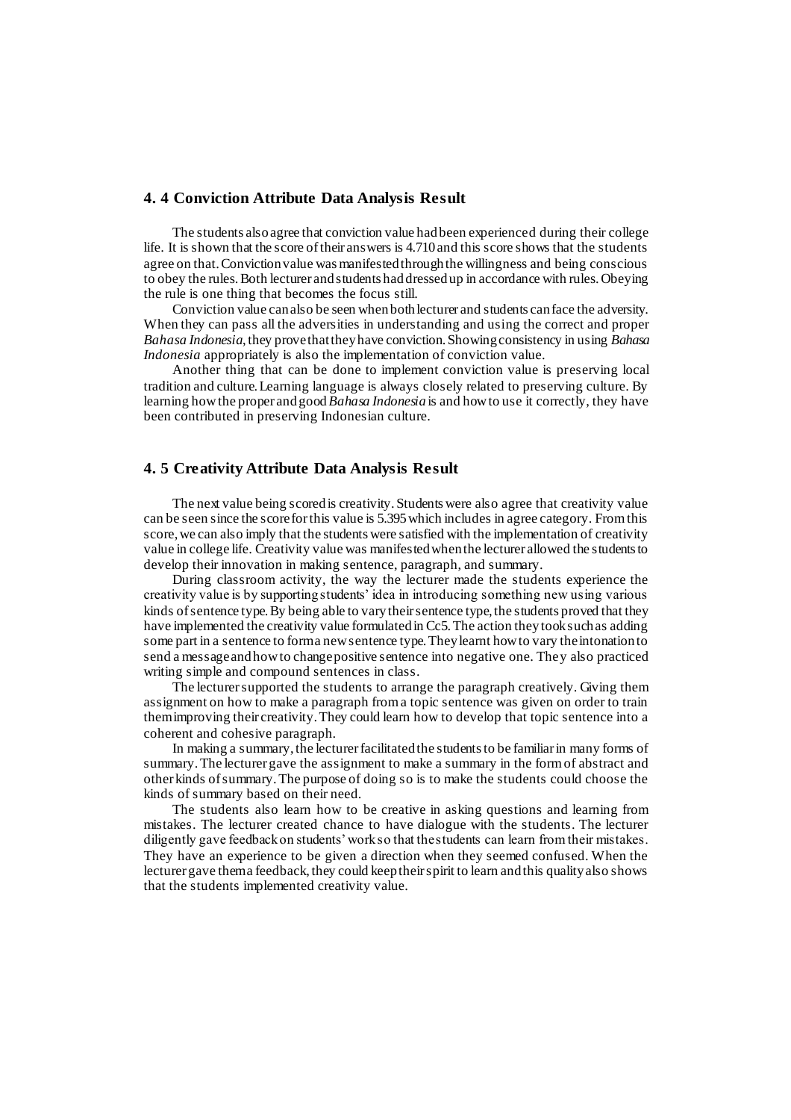# **4. 4 Conviction Attribute Data Analysis Result**

The students also agree that conviction value had been experienced during their college life. It is shown that the score of their answers is 4.710 and this score shows that the students agree on that. Conviction value was manifested through the willingness and being conscious to obey the rules. Both lecturer and students had dressed up in accordance with rules. Obeying the rule is one thing that becomes the focus still.

Conviction value can also be seen when both lecturer and students can face the adversity. When they can pass all the adversities in understanding and using the correct and proper *Bahasa Indonesia*, they prove that they have conviction. Showing consistency in using *Bahasa Indonesia* appropriately is also the implementation of conviction value.

Another thing that can be done to implement conviction value is preserving local tradition and culture. Learning language is always closely related to preserving culture. By learning how the proper and good *Bahasa Indonesia* is and how to use it correctly, they have been contributed in preserving Indonesian culture.

# **4. 5 Creativity Attribute Data Analysis Result**

The next value being scored is creativity. Students were also agree that creativity value can be seen since the score for this value is 5.395 which includes in agree category. From this score, we can also imply that the students were satisfied with the implementation of creativity value in college life. Creativity value was manifested when the lecturer allowed the students to develop their innovation in making sentence, paragraph, and summary.

During classroom activity, the way the lecturer made the students experience the creativity value is by supporting students' idea in introducing something new using various kinds of sentence type. By being able to vary their sentence type, the students proved that they have implemented the creativity value formulated in Cc5. The action they took such as adding some part in a sentence to form a new sentence type. They learnt how to vary the intonation to send a message and how to change positive sentence into negative one. They also practiced writing simple and compound sentences in class.

The lecturer supported the students to arrange the paragraph creatively. Giving them assignment on how to make a paragraph from a topic sentence was given on order to train them improving their creativity. They could learn how to develop that topic sentence into a coherent and cohesive paragraph.

In making a summary, the lecturer facilitated the students to be familiar in many forms of summary. The lecturer gave the assignment to make a summary in the form of abstract and other kinds of summary. The purpose of doing so is to make the students could choose the kinds of summary based on their need.

The students also learn how to be creative in asking questions and learning from mistakes. The lecturer created chance to have dialogue with the students. The lecturer diligently gave feedback on students' work so that the students can learn from their mistakes. They have an experience to be given a direction when they seemed confused. When the lecturer gave them a feedback, they could keep their spirit to learn and this quality also shows that the students implemented creativity value.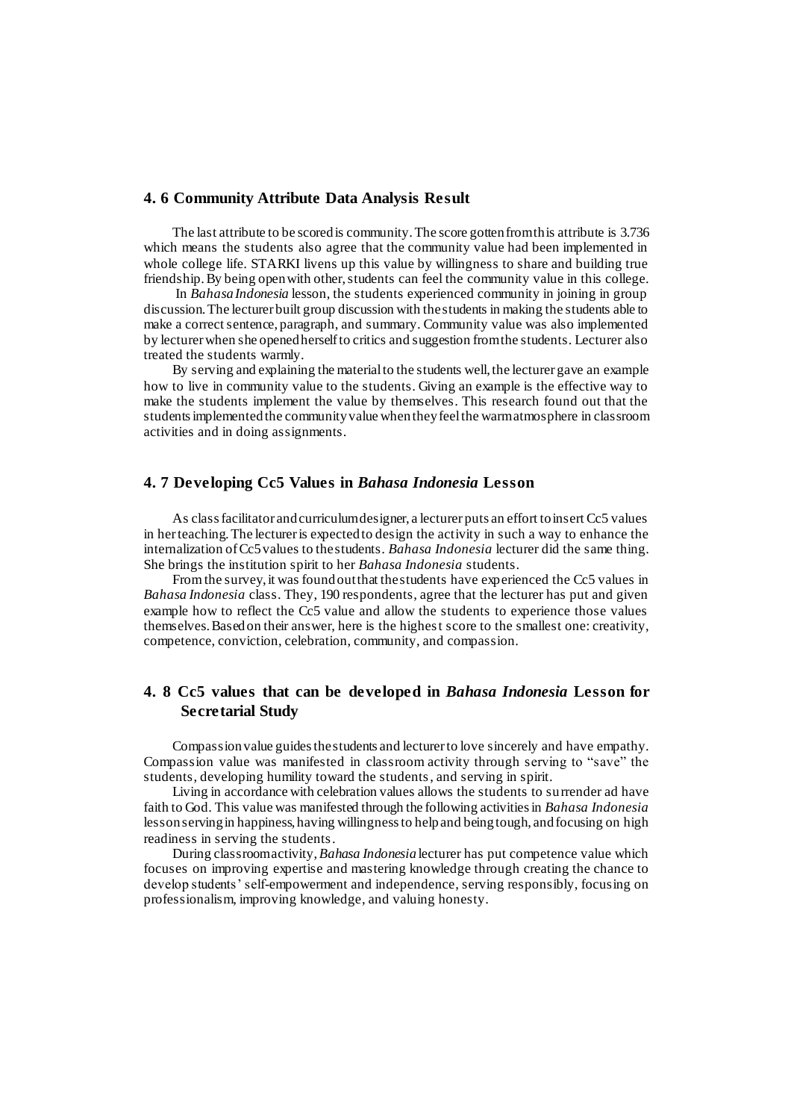## **4. 6 Community Attribute Data Analysis Result**

The last attribute to be scored is community. The score gotten from this attribute is 3.736 which means the students also agree that the community value had been implemented in whole college life. STARKI livens up this value by willingness to share and building true friendship. By being open with other, students can feel the community value in this college.

In *Bahasa Indonesia* lesson, the students experienced community in joining in group discussion. The lecturer built group discussion with the students in making the students able to make a correct sentence, paragraph, and summary. Community value was also implemented by lecturer when she opened herself to critics and suggestion from the students. Lecturer also treated the students warmly.

By serving and explaining the material to the students well, the lecturer gave an example how to live in community value to the students. Giving an example is the effective way to make the students implement the value by themselves. This research found out that the students implemented the community value when they feel the warm atmosphere in classroom activities and in doing assignments.

# **4. 7 Developing Cc5 Values in** *Bahasa Indonesia* **Lesson**

As class facilitator and curriculum designer, a lecturer puts an effort to insert Cc5 values in her teaching. The lecturer is expected to design the activity in such a way to enhance the internalization of Cc5 values to the students. *Bahasa Indonesia* lecturer did the same thing. She brings the institution spirit to her *Bahasa Indonesia* students.

From the survey, it was found out that the students have experienced the Cc5 values in *Bahasa Indonesia* class. They, 190 respondents, agree that the lecturer has put and given example how to reflect the Cc5 value and allow the students to experience those values themselves. Based on their answer, here is the highest score to the smallest one: creativity, competence, conviction, celebration, community, and compassion.

# **4. 8 Cc5 values that can be developed in** *Bahasa Indonesia* **Lesson for Secretarial Study**

Compassion value guides the students and lecturer to love sincerely and have empathy. Compassion value was manifested in classroom activity through serving to "save" the students, developing humility toward the students, and serving in spirit.

Living in accordance with celebration values allows the students to surrender ad have faith to God. This value was manifested through the following activities in *Bahasa Indonesia* lessonserving in happiness, having willingness to help and being tough, andfocusing on high readiness in serving the students.

During classroom activity, *Bahasa Indonesia* lecturer has put competence value which focuses on improving expertise and mastering knowledge through creating the chance to develop students' self-empowerment and independence, serving responsibly, focusing on professionalism, improving knowledge, and valuing honesty.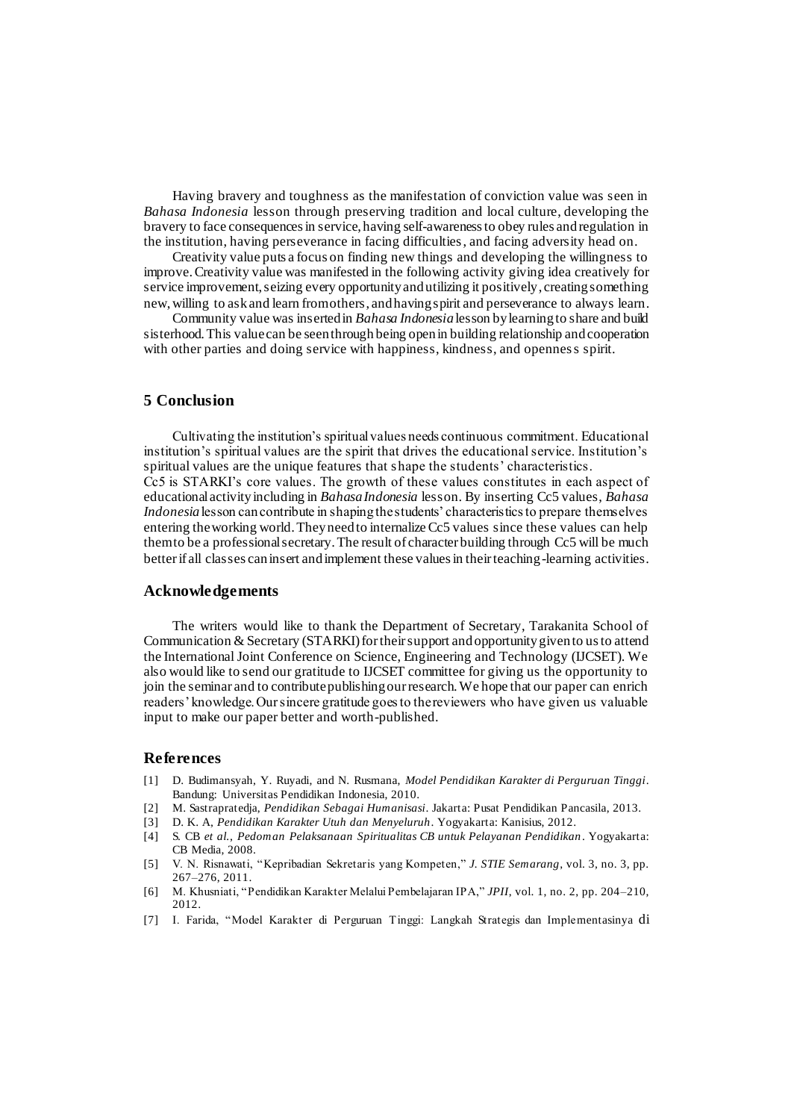Having bravery and toughness as the manifestation of conviction value was seen in *Bahasa Indonesia* lesson through preserving tradition and local culture, developing the bravery to face consequences in service, having self-awareness to obey rules and regulation in the institution, having perseverance in facing difficulties, and facing adversity head on.

Creativity value puts a focus on finding new things and developing the willingness to improve. Creativity value was manifested in the following activity giving idea creatively for service improvement, seizing every opportunity and utilizing it positively, creating something new, willing to ask and learn from others, and having spirit and perseverance to always learn.

Community value was inserted in *Bahasa Indonesia* lesson by learning to share and build sisterhood.This value can be seen through being open in building relationship and cooperation with other parties and doing service with happiness, kindness, and openness spirit.

## **5 Conclusion**

Cultivating the institution's spiritual values needs continuous commitment. Educational institution's spiritual values are the spirit that drives the educational service. Institution's spiritual values are the unique features that shape the students' characteristics. Cc5 is STARKI's core values. The growth of these values constitutes in each aspect of educational activity including in *Bahasa Indonesia* lesson. By inserting Cc5 values, *Bahasa Indonesia* lesson can contribute in shaping the students' characteristics to prepare themselves entering the working world. They need to internalize Cc5 values since these values can help them to be a professional secretary. The result of character building through Cc5 will be much better if all classes can insert and implement these values in their teaching-learning activities.

#### **Acknowledgements**

The writers would like to thank the Department of Secretary, Tarakanita School of Communication & Secretary (STARKI) for their support and opportunity given to us to attend the International Joint Conference on Science, Engineering and Technology (IJCSET). We also would like to send our gratitude to IJCSET committee for giving us the opportunity to join the seminar and to contribute publishing our research. We hope that our paper can enrich readers' knowledge. Our sincere gratitude goes to the reviewers who have given us valuable input to make our paper better and worth-published.

#### **References**

- [1] D. Budimansyah, Y. Ruyadi, and N. Rusmana, *Model Pendidikan Karakter di Perguruan Tinggi*. Bandung: Universitas Pendidikan Indonesia, 2010.
- [2] M. Sastrapratedja, *Pendidikan Sebagai Humanisasi*. Jakarta: Pusat Pendidikan Pancasila, 2013.
- [3] D. K. A, *Pendidikan Karakter Utuh dan Menyeluruh*. Yogyakarta: Kanisius, 2012.
- [4] S. CB *et al.*, *Pedoman Pelaksanaan Spiritualitas CB untuk Pelayanan Pendidikan* . Yogyakarta: CB Media, 2008.
- [5] V. N. Risnawati, "Kepribadian Sekretaris yang Kompeten," *J. STIE Semarang*, vol. 3, no. 3, pp. 267–276, 2011.
- [6] M. Khusniati, "Pendidikan Karakter Melalui Pembelajaran IPA," *JPII*, vol. 1, no. 2, pp. 204–210, 2012.
- [7] I. Farida, "Model Karakter di Perguruan Tinggi: Langkah Strategis dan Implementasinya di